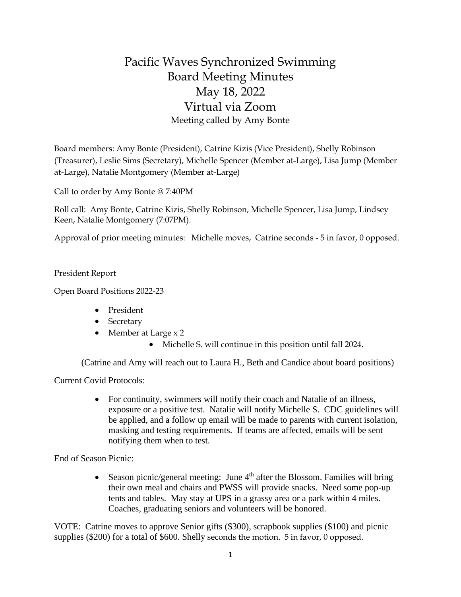## Pacific Waves Synchronized Swimming Board Meeting Minutes May 18, 2022 Virtual via Zoom Meeting called by Amy Bonte

Board members: Amy Bonte (President), Catrine Kizis (Vice President), Shelly Robinson (Treasurer), Leslie Sims (Secretary), Michelle Spencer (Member at-Large), Lisa Jump (Member at-Large), Natalie Montgomery (Member at-Large)

Call to order by Amy Bonte @ 7:40PM

Roll call: Amy Bonte, Catrine Kizis, Shelly Robinson, Michelle Spencer, Lisa Jump, Lindsey Keen, Natalie Montgomery (7:07PM).

Approval of prior meeting minutes: Michelle moves, Catrine seconds - 5 in favor, 0 opposed.

President Report

Open Board Positions 2022-23

- President
- Secretary
- Member at Large x 2
	- Michelle S. will continue in this position until fall 2024.

(Catrine and Amy will reach out to Laura H., Beth and Candice about board positions)

Current Covid Protocols:

• For continuity, swimmers will notify their coach and Natalie of an illness, exposure or a positive test. Natalie will notify Michelle S. CDC guidelines will be applied, and a follow up email will be made to parents with current isolation, masking and testing requirements. If teams are affected, emails will be sent notifying them when to test.

End of Season Picnic:

• Season picnic/general meeting: June  $4<sup>th</sup>$  after the Blossom. Families will bring their own meal and chairs and PWSS will provide snacks. Need some pop-up tents and tables. May stay at UPS in a grassy area or a park within 4 miles. Coaches, graduating seniors and volunteers will be honored.

VOTE: Catrine moves to approve Senior gifts (\$300), scrapbook supplies (\$100) and picnic supplies (\$200) for a total of \$600. Shelly seconds the motion. 5 in favor, 0 opposed.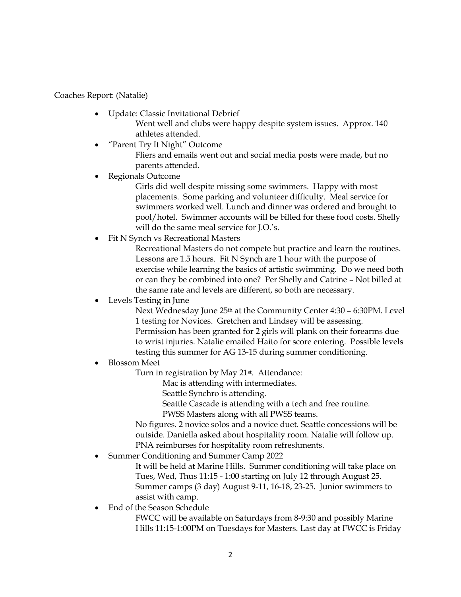Coaches Report: (Natalie)

- Update: Classic Invitational Debrief Went well and clubs were happy despite system issues. Approx. 140 athletes attended.
- "Parent Try It Night" Outcome Fliers and emails went out and social media posts were made, but no parents attended.
- Regionals Outcome

Girls did well despite missing some swimmers. Happy with most placements. Some parking and volunteer difficulty. Meal service for swimmers worked well. Lunch and dinner was ordered and brought to pool/hotel. Swimmer accounts will be billed for these food costs. Shelly will do the same meal service for J.O.'s.

Fit N Synch vs Recreational Masters

Recreational Masters do not compete but practice and learn the routines. Lessons are 1.5 hours. Fit N Synch are 1 hour with the purpose of exercise while learning the basics of artistic swimming. Do we need both or can they be combined into one? Per Shelly and Catrine – Not billed at the same rate and levels are different, so both are necessary.

## Levels Testing in June

Next Wednesday June 25th at the Community Center 4:30 – 6:30PM. Level 1 testing for Novices. Gretchen and Lindsey will be assessing. Permission has been granted for 2 girls will plank on their forearms due to wrist injuries. Natalie emailed Haito for score entering. Possible levels testing this summer for AG 13-15 during summer conditioning.

## • Blossom Meet

Turn in registration by May 21<sup>st</sup>. Attendance:

Mac is attending with intermediates.

Seattle Synchro is attending.

Seattle Cascade is attending with a tech and free routine.

PWSS Masters along with all PWSS teams.

No figures. 2 novice solos and a novice duet. Seattle concessions will be outside. Daniella asked about hospitality room. Natalie will follow up. PNA reimburses for hospitality room refreshments.

• Summer Conditioning and Summer Camp 2022

It will be held at Marine Hills. Summer conditioning will take place on Tues, Wed, Thus 11:15 - 1:00 starting on July 12 through August 25. Summer camps (3 day) August 9-11, 16-18, 23-25. Junior swimmers to assist with camp.

• End of the Season Schedule

FWCC will be available on Saturdays from 8-9:30 and possibly Marine Hills 11:15-1:00PM on Tuesdays for Masters. Last day at FWCC is Friday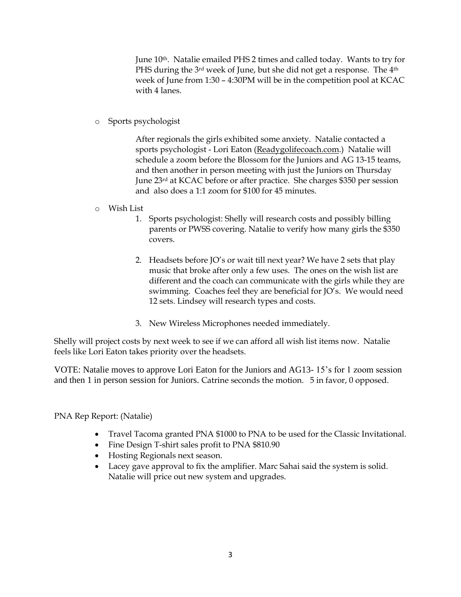June 10<sup>th</sup>. Natalie emailed PHS 2 times and called today. Wants to try for PHS during the 3<sup>rd</sup> week of June, but she did not get a response. The 4<sup>th</sup> week of June from 1:30 – 4:30PM will be in the competition pool at KCAC with 4 lanes.

o Sports psychologist

After regionals the girls exhibited some anxiety. Natalie contacted a sports psychologist - Lori Eaton (Readygolifecoach.com.) Natalie will schedule a zoom before the Blossom for the Juniors and AG 13-15 teams, and then another in person meeting with just the Juniors on Thursday June 23rd at KCAC before or after practice. She charges \$350 per session and also does a 1:1 zoom for \$100 for 45 minutes.

- o Wish List
	- 1. Sports psychologist: Shelly will research costs and possibly billing parents or PWSS covering. Natalie to verify how many girls the \$350 covers.
	- 2. Headsets before JO's or wait till next year? We have 2 sets that play music that broke after only a few uses. The ones on the wish list are different and the coach can communicate with the girls while they are swimming. Coaches feel they are beneficial for JO's. We would need 12 sets. Lindsey will research types and costs.
	- 3. New Wireless Microphones needed immediately.

Shelly will project costs by next week to see if we can afford all wish list items now. Natalie feels like Lori Eaton takes priority over the headsets.

VOTE: Natalie moves to approve Lori Eaton for the Juniors and AG13- 15's for 1 zoom session and then 1 in person session for Juniors. Catrine seconds the motion. 5 in favor, 0 opposed.

PNA Rep Report: (Natalie)

- Travel Tacoma granted PNA \$1000 to PNA to be used for the Classic Invitational.
- Fine Design T-shirt sales profit to PNA \$810.90
- Hosting Regionals next season.
- Lacey gave approval to fix the amplifier. Marc Sahai said the system is solid. Natalie will price out new system and upgrades.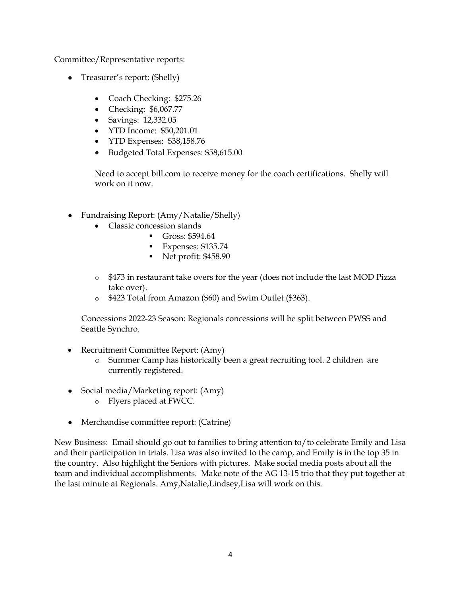Committee/Representative reports:

- Treasurer's report: (Shelly)
	- Coach Checking: \$275.26
	- Checking: \$6,067.77
	- Savings: 12,332.05
	- YTD Income: \$50,201.01
	- YTD Expenses: \$38,158.76
	- Budgeted Total Expenses: \$58,615.00

Need to accept bill.com to receive money for the coach certifications. Shelly will work on it now.

- Fundraising Report: (Amy/Natalie/Shelly)
	- Classic concession stands
		- Gross: \$594.64
			- Expenses: \$135.74
			- Net profit: \$458.90
	- o \$473 in restaurant take overs for the year (does not include the last MOD Pizza take over).
	- o \$423 Total from Amazon (\$60) and Swim Outlet (\$363).

Concessions 2022-23 Season: Regionals concessions will be split between PWSS and Seattle Synchro.

- Recruitment Committee Report: (Amy)
	- o Summer Camp has historically been a great recruiting tool. 2 children are currently registered.
- Social media/Marketing report: (Amy)
	- o Flyers placed at FWCC.
- Merchandise committee report: (Catrine)

New Business: Email should go out to families to bring attention to/to celebrate Emily and Lisa and their participation in trials. Lisa was also invited to the camp, and Emily is in the top 35 in the country. Also highlight the Seniors with pictures. Make social media posts about all the team and individual accomplishments. Make note of the AG 13-15 trio that they put together at the last minute at Regionals. Amy,Natalie,Lindsey,Lisa will work on this.